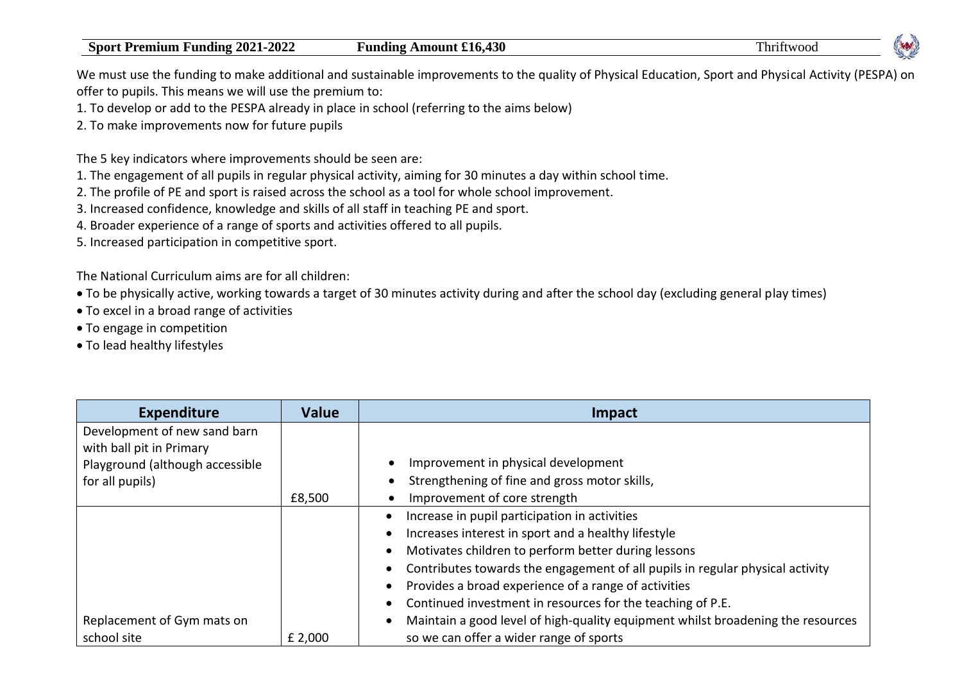| <b>Sport Premium Funding 2021-2022</b> | <b>Funding Amount £16,430</b> | Thriftwood |
|----------------------------------------|-------------------------------|------------|
|----------------------------------------|-------------------------------|------------|

We must use the funding to make additional and sustainable improvements to the quality of Physical Education, Sport and Physical Activity (PESPA) on offer to pupils. This means we will use the premium to:

- 1. To develop or add to the PESPA already in place in school (referring to the aims below)
- 2. To make improvements now for future pupils

The 5 key indicators where improvements should be seen are:

1. The engagement of all pupils in regular physical activity, aiming for 30 minutes a day within school time.

2. The profile of PE and sport is raised across the school as a tool for whole school improvement.

3. Increased confidence, knowledge and skills of all staff in teaching PE and sport.

4. Broader experience of a range of sports and activities offered to all pupils.

5. Increased participation in competitive sport.

The National Curriculum aims are for all children:

• To be physically active, working towards a target of 30 minutes activity during and after the school day (excluding general play times)

- To excel in a broad range of activities
- To engage in competition
- To lead healthy lifestyles

| <b>Expenditure</b>              | <b>Value</b> | Impact                                                                                       |
|---------------------------------|--------------|----------------------------------------------------------------------------------------------|
| Development of new sand barn    |              |                                                                                              |
| with ball pit in Primary        |              |                                                                                              |
| Playground (although accessible |              | Improvement in physical development                                                          |
| for all pupils)                 |              | Strengthening of fine and gross motor skills,                                                |
|                                 | £8,500       | Improvement of core strength                                                                 |
|                                 |              | Increase in pupil participation in activities<br>$\bullet$                                   |
|                                 |              | Increases interest in sport and a healthy lifestyle<br>$\bullet$                             |
|                                 |              | Motivates children to perform better during lessons<br>$\bullet$                             |
|                                 |              | Contributes towards the engagement of all pupils in regular physical activity<br>$\bullet$   |
|                                 |              | Provides a broad experience of a range of activities<br>$\bullet$                            |
|                                 |              | Continued investment in resources for the teaching of P.E.<br>$\bullet$                      |
| Replacement of Gym mats on      |              | Maintain a good level of high-quality equipment whilst broadening the resources<br>$\bullet$ |
| school site                     | £ 2,000      | so we can offer a wider range of sports                                                      |